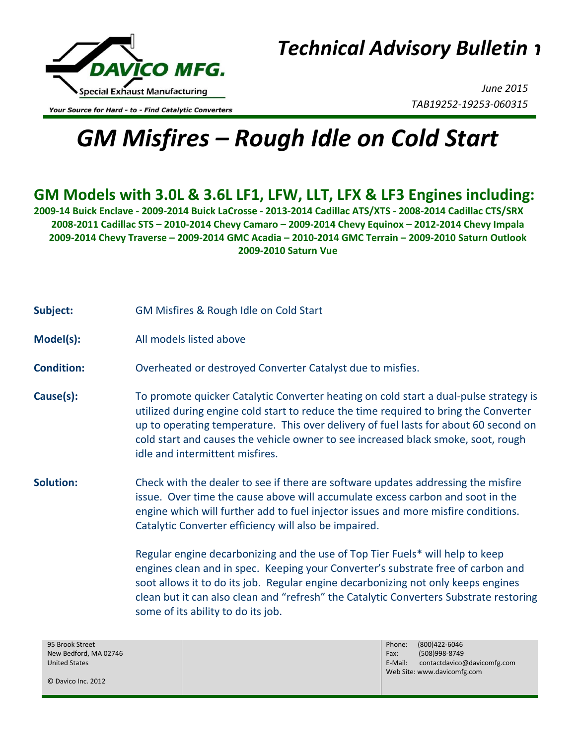

*Technical Advisory Bulletin Technical Advisory Bulletin*

Your Source for Hard - to - Find Catalytic Converters

*June 2015 TAB19252-19253-060315*

## *GM Misfires – Rough Idle on Cold Start*

## **GM Models with 3.0L & 3.6L LF1, LFW, LLT, LFX & LF3 Engines including:**

**2009-14 Buick Enclave - 2009-2014 Buick LaCrosse - 2013-2014 Cadillac ATS/XTS - 2008-2014 Cadillac CTS/SRX 2008-2011 Cadillac STS – 2010-2014 Chevy Camaro – 2009-2014 Chevy Equinox – 2012-2014 Chevy Impala 2009-2014 Chevy Traverse – 2009-2014 GMC Acadia – 2010-2014 GMC Terrain – 2009-2010 Saturn Outlook 2009-2010 Saturn Vue**

- **Subject:** GM Misfires & Rough Idle on Cold Start
- **Model(s):** All models listed above
- **Condition:** Overheated or destroyed Converter Catalyst due to misfies.
- **Cause(s):** To promote quicker Catalytic Converter heating on cold start a dual-pulse strategy is utilized during engine cold start to reduce the time required to bring the Converter up to operating temperature. This over delivery of fuel lasts for about 60 second on cold start and causes the vehicle owner to see increased black smoke, soot, rough idle and intermittent misfires.
- **Solution:** Check with the dealer to see if there are software updates addressing the misfire issue. Over time the cause above will accumulate excess carbon and soot in the engine which will further add to fuel injector issues and more misfire conditions. Catalytic Converter efficiency will also be impaired.

Regular engine decarbonizing and the use of Top Tier Fuels\* will help to keep engines clean and in spec. Keeping your Converter's substrate free of carbon and soot allows it to do its job. Regular engine decarbonizing not only keeps engines clean but it can also clean and "refresh" the Catalytic Converters Substrate restoring some of its ability to do its job.

95 Brook Street New Bedford, MA 02746 United States

© Davico Inc. 2012

Phone: (800)422-6046 Fax: (508)998-8749 E-Mail: contactdavico@davicomfg.com Web Site: www.davicomfg.com